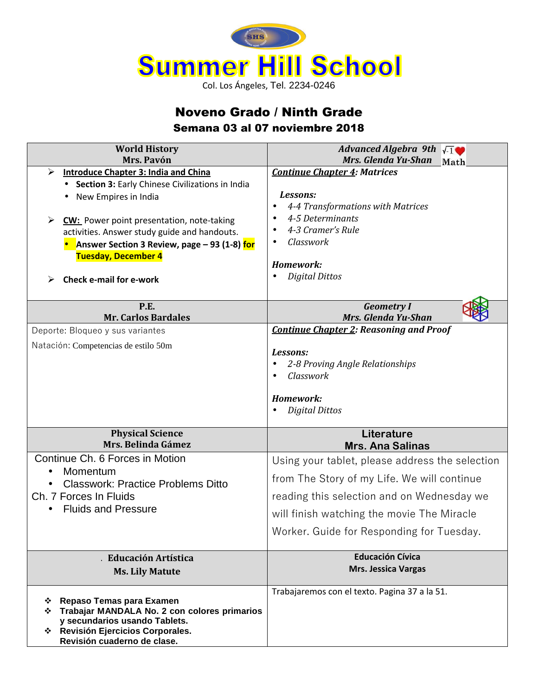

## Noveno Grado / Ninth Grade Semana 03 al 07 noviembre 2018

| <b>World History</b>                                                                                                                                                                                                                                                                                                                            | Advanced Algebra 9th $\sqrt{1}$                                                                                                                                                                                                         |
|-------------------------------------------------------------------------------------------------------------------------------------------------------------------------------------------------------------------------------------------------------------------------------------------------------------------------------------------------|-----------------------------------------------------------------------------------------------------------------------------------------------------------------------------------------------------------------------------------------|
| Mrs. Pavón                                                                                                                                                                                                                                                                                                                                      | Mrs. Glenda Yu-Shan Math                                                                                                                                                                                                                |
| Introduce Chapter 3: India and China<br>⋗<br>• Section 3: Early Chinese Civilizations in India<br>New Empires in India<br><b>CW:</b> Power point presentation, note-taking<br>➤<br>activities. Answer study guide and handouts.<br>Answer Section 3 Review, page - 93 (1-8) for<br><b>Tuesday, December 4</b><br><b>Check e-mail for e-work</b> | <b>Continue Chapter 4: Matrices</b><br>Lessons:<br>4-4 Transformations with Matrices<br>$\bullet$<br>4-5 Determinants<br>$\bullet$<br>4-3 Cramer's Rule<br>$\bullet$<br>Classwork<br>Homework:<br><b>Digital Dittos</b><br>$\bullet$    |
| P.E.<br><b>Mr. Carlos Bardales</b>                                                                                                                                                                                                                                                                                                              | <b>Geometry I</b><br>Mrs. Glenda Yu-Shan                                                                                                                                                                                                |
| Deporte: Bloqueo y sus variantes                                                                                                                                                                                                                                                                                                                | <b>Continue Chapter 2: Reasoning and Proof</b>                                                                                                                                                                                          |
| Natación: Competencias de estilo 50m                                                                                                                                                                                                                                                                                                            | Lessons:<br>2-8 Proving Angle Relationships<br>Classwork<br>Homework:<br><b>Digital Dittos</b>                                                                                                                                          |
| <b>Physical Science</b><br>Mrs. Belinda Gámez                                                                                                                                                                                                                                                                                                   | Literature<br><b>Mrs. Ana Salinas</b>                                                                                                                                                                                                   |
| Continue Ch. 6 Forces in Motion<br>Momentum<br><b>Classwork: Practice Problems Ditto</b><br>Ch. 7 Forces In Fluids<br><b>Fluids and Pressure</b>                                                                                                                                                                                                | Using your tablet, please address the selection<br>from The Story of my Life. We will continue<br>reading this selection and on Wednesday we<br>will finish watching the movie The Miracle<br>Worker. Guide for Responding for Tuesday. |
| . Educación Artística                                                                                                                                                                                                                                                                                                                           | <b>Educación Cívica</b>                                                                                                                                                                                                                 |
| <b>Ms. Lily Matute</b>                                                                                                                                                                                                                                                                                                                          | <b>Mrs. Jessica Vargas</b>                                                                                                                                                                                                              |
| Repaso Temas para Examen<br>❖<br>Trabajar MANDALA No. 2 con colores primarios<br>y secundarios usando Tablets.<br>❖ Revisión Ejercicios Corporales.<br>Revisión cuaderno de clase.                                                                                                                                                              | Trabajaremos con el texto. Pagina 37 a la 51.                                                                                                                                                                                           |